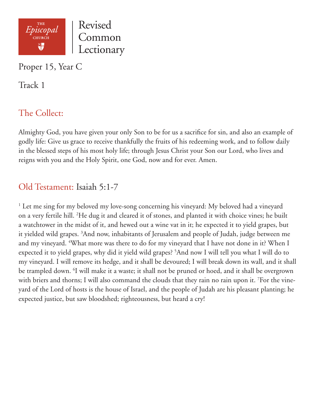

Proper 15, Year C

Track 1

# The Collect:

Almighty God, you have given your only Son to be for us a sacrifice for sin, and also an example of godly life: Give us grace to receive thankfully the fruits of his redeeming work, and to follow daily in the blessed steps of his most holy life; through Jesus Christ your Son our Lord, who lives and reigns with you and the Holy Spirit, one God, now and for ever. Amen.

### Old Testament: Isaiah 5:1-7

<sup>1</sup> Let me sing for my beloved my love-song concerning his vineyard: My beloved had a vineyard on a very fertile hill. 2 He dug it and cleared it of stones, and planted it with choice vines; he built a watchtower in the midst of it, and hewed out a wine vat in it; he expected it to yield grapes, but it yielded wild grapes. 3 And now, inhabitants of Jerusalem and people of Judah, judge between me and my vineyard. <sup>4</sup>What more was there to do for my vineyard that I have not done in it? When I expected it to yield grapes, why did it yield wild grapes? 5 And now I will tell you what I will do to my vineyard. I will remove its hedge, and it shall be devoured; I will break down its wall, and it shall be trampled down. <sup>6</sup>I will make it a waste; it shall not be pruned or hoed, and it shall be overgrown with briers and thorns; I will also command the clouds that they rain no rain upon it. 7 For the vineyard of the Lord of hosts is the house of Israel, and the people of Judah are his pleasant planting; he expected justice, but saw bloodshed; righteousness, but heard a cry!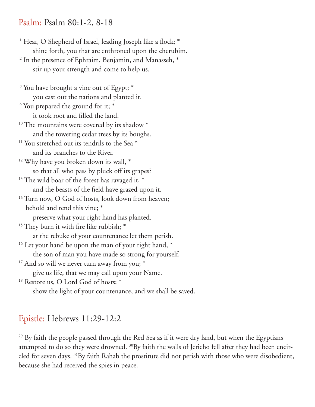#### Psalm: Psalm 80:1-2, 8-18

<sup>1</sup> Hear, O Shepherd of Israel, leading Joseph like a flock; \* shine forth, you that are enthroned upon the cherubim. <sup>2</sup> In the presence of Ephraim, Benjamin, and Manasseh,  $*$ stir up your strength and come to help us.

 8 You have brought a vine out of Egypt; \* you cast out the nations and planted it. <sup>9</sup> You prepared the ground for it; \* it took root and filled the land. <sup>10</sup> The mountains were covered by its shadow \* and the towering cedar trees by its boughs. <sup>11</sup> You stretched out its tendrils to the Sea<sup>\*</sup> and its branches to the River. <sup>12</sup> Why have you broken down its wall, \* so that all who pass by pluck off its grapes?  $13$  The wild boar of the forest has ravaged it,  $*$  and the beasts of the field have grazed upon it. <sup>14</sup> Turn now, O God of hosts, look down from heaven; behold and tend this vine; \* preserve what your right hand has planted.

<sup>15</sup> They burn it with fire like rubbish; \*

at the rebuke of your countenance let them perish.

<sup>16</sup> Let your hand be upon the man of your right hand, \*

the son of man you have made so strong for yourself.

- $17$  And so will we never turn away from you;  $*$ give us life, that we may call upon your Name.
- <sup>18</sup> Restore us, O Lord God of hosts; \*

show the light of your countenance, and we shall be saved.

### Epistle: Hebrews 11:29-12:2

<sup>29</sup> By faith the people passed through the Red Sea as if it were dry land, but when the Egyptians attempted to do so they were drowned. <sup>30</sup>By faith the walls of Jericho fell after they had been encircled for seven days. 31By faith Rahab the prostitute did not perish with those who were disobedient, because she had received the spies in peace.